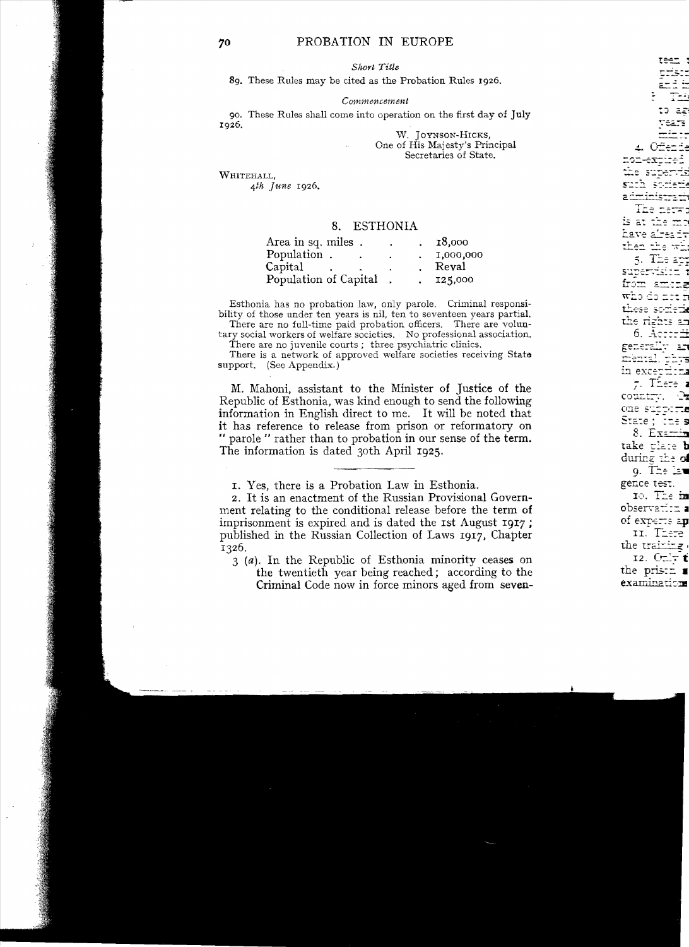## 8. ESTHONIA

| Area in sq. miles.    | ۰ | 18,000    |
|-----------------------|---|-----------|
| Population.           |   | 1,000,000 |
| Capital               |   | Reval     |
| Population of Capital |   | 125,000   |

Esthonia has no probation law, only parole. Criminal responsibility of those under ten years is nil, ten to seventeen years partial.

There are no full-time paid probation officers. There are voluntary social workers of welfare societies. No professional association.

There are no juvenile courts : three psychiatric clinics.

There is a network of approved welfare societies receiving State support. (See Appendix.)

M. Mahoni, assistant to the Minister of Justice of the Republic of Esthonia. was kind enough to send the following information in English direct to me. It will be noted that it has reference to release from prison or reformatory on " parole " rather than to probation in our sense of the term. The information is dated 30th April 1925.

I. Yes. there is a Probation Law in Esthonia.

2. It is an enactment of the Russian Provisional Government relating to the conditional release before the term of imprisonment is expired and is dated the 1st August 1917: published in the Russian Collection of Laws 1917, Chapter 1326.

3 (a). In the Republic of Esthonia minority ceases on

the twentieth year being reached; according to the Criminal Code now in force minors aged from seven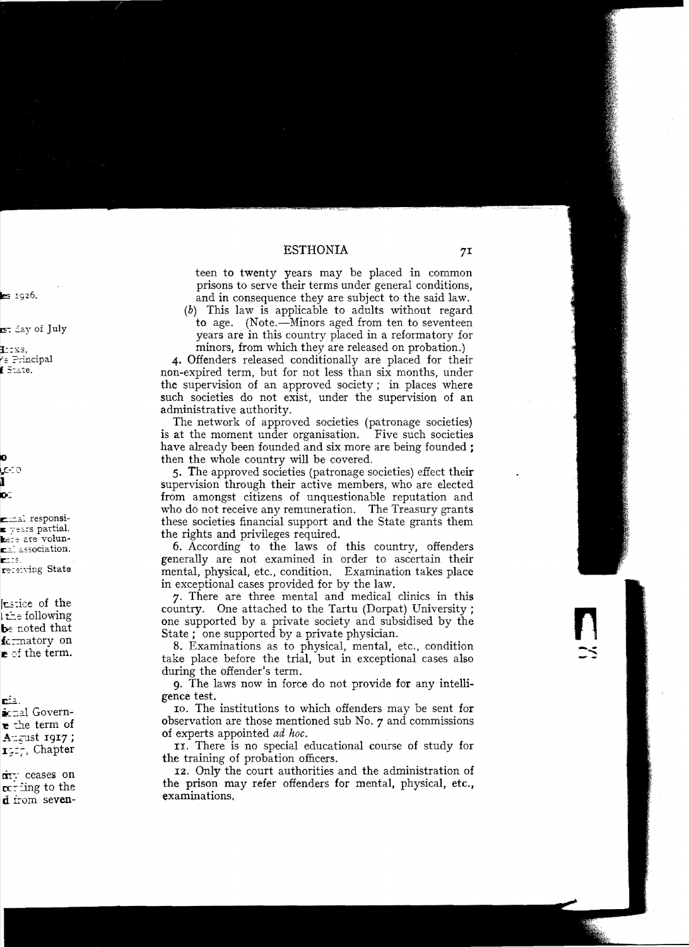teen to twenty years may be placed in common prisons to serve their terms under general conditions. and in consequence they are subject to the said law.

 $(b)$  This law is applicable to adults without regard to age. (Note.—Minors aged from ten to seventeen years are in this country placed in a reformatory for minors, from which they are released on probation.)

4. Offenders released conditionally are placed for their non-expired term, but for not less than six months, under the supervision of an approved society; in places where such societies do not exist, under the supervision of an administrative authority.

The network of approved societies (patronage societies) is at the moment under organisation. Five such societies have already been founded and six more are being founded ; then the whole country will be covered.

5. The approved societies (patronage societies) effect their supervision through their active members, who are elected from amongst citizens of unquestionable reputation and who do not receive any remuneration. The Treasury grants these societies financial support and the State grants them the rights and privileges required.

6. According to the laws of this country, offenders generally are not examined in order to ascertain their mental, physical, etc., condition. Examination takes place in exceptional cases provided for by the law.

7. There are three mental and medical clinics in this country. One attached to the Tartu (Dorpat) University; one supported by a private society and subsidised by the State ; one supported by a private physician.

8. Examinations as to physical, mental, etc., condition take place before the trial, but in exceptional cases also during the offender's term.

**9.** The laws now in force do not provide for any intelligence test.

to. The institutions to which offenders may be sent for observation are those mentioned sub No. 7 and commissions of experts appointed *ad hoc*.

II. There is no special educational course of study for the training of probation officers.

12. Only the court authorities and the administration of the prison may refer offenders for mental, physical, etc., examinations.